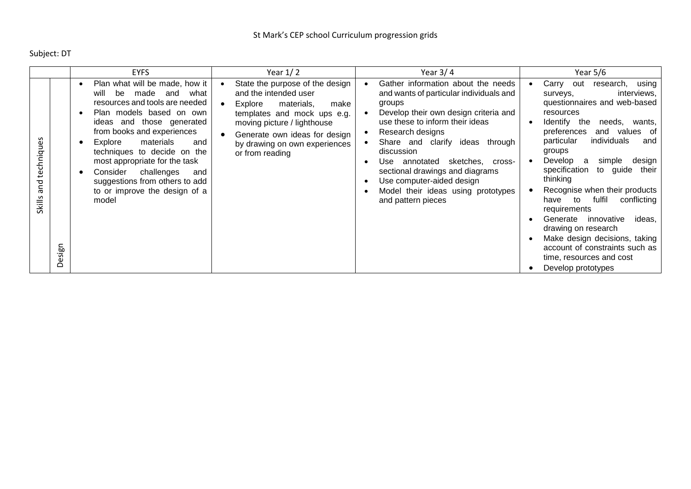Subject: DT

|                                                      | <b>EYFS</b>                                                                                                                                                                                                                                                                                                                                                                                              | Year $1/2$                                                                                                                                                                                                                                   | Year $3/4$                                                                                                                                                                                                                                                                                                                                                                                                         | Year $5/6$                                                                                                                                                                                                                                                                                                                                                                                                                                                                                                                                                                                   |
|------------------------------------------------------|----------------------------------------------------------------------------------------------------------------------------------------------------------------------------------------------------------------------------------------------------------------------------------------------------------------------------------------------------------------------------------------------------------|----------------------------------------------------------------------------------------------------------------------------------------------------------------------------------------------------------------------------------------------|--------------------------------------------------------------------------------------------------------------------------------------------------------------------------------------------------------------------------------------------------------------------------------------------------------------------------------------------------------------------------------------------------------------------|----------------------------------------------------------------------------------------------------------------------------------------------------------------------------------------------------------------------------------------------------------------------------------------------------------------------------------------------------------------------------------------------------------------------------------------------------------------------------------------------------------------------------------------------------------------------------------------------|
| techniques<br>and<br>Skills<br>uais<br>Φ<br>$\Omega$ | Plan what will be made, how it<br>be<br>made<br>will<br>what<br>and<br>resources and tools are needed<br>Plan models based on own<br>ideas and those generated<br>from books and experiences<br>materials<br>Explore<br>and<br>techniques to decide on the<br>most appropriate for the task<br>Consider<br>challenges<br>and<br>suggestions from others to add<br>to or improve the design of a<br>model | State the purpose of the design<br>and the intended user<br>Explore<br>materials,<br>make<br>templates and mock ups e.g.<br>moving picture / lighthouse<br>Generate own ideas for design<br>by drawing on own experiences<br>or from reading | Gather information about the needs<br>and wants of particular individuals and<br>groups<br>Develop their own design criteria and<br>use these to inform their ideas<br>Research designs<br>Share and clarify ideas<br>through<br>discussion<br>annotated<br>sketches,<br>Use<br>cross-<br>sectional drawings and diagrams<br>Use computer-aided design<br>Model their ideas using prototypes<br>and pattern pieces | Carry<br>using<br>out<br>research,<br>interviews,<br>surveys,<br>questionnaires and web-based<br>resources<br>Identify the<br>needs,<br>wants,<br>preferences<br>and values of<br>individuals<br>particular<br>and<br>groups<br>Develop<br>design<br>simple<br>- a<br>to guide<br>specification<br>their<br>thinking<br>Recognise when their products<br>fulfil<br>conflicting<br>to<br>have<br>requirements<br>Generate<br>innovative<br>ideas.<br>drawing on research<br>Make design decisions, taking<br>account of constraints such as<br>time, resources and cost<br>Develop prototypes |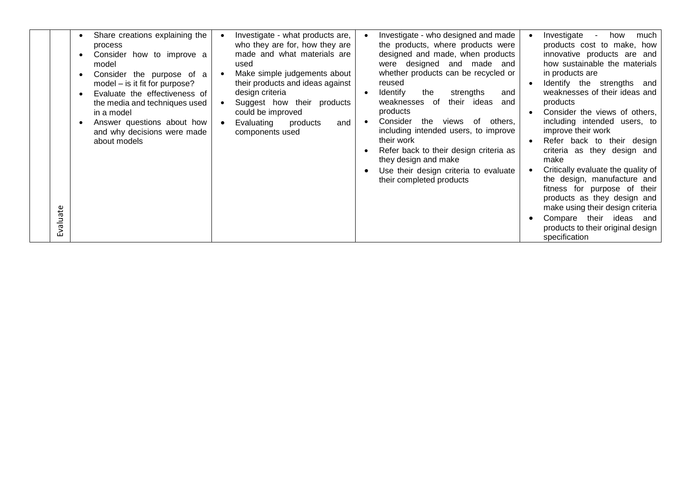| Evaluate | Share creations explaining the<br>process<br>Consider how to improve a<br>model<br>Consider the purpose of a<br>model - is it fit for purpose?<br>Evaluate the effectiveness of<br>the media and techniques used<br>in a model<br>Answer questions about how<br>and why decisions were made<br>about models | Investigate - what products are,<br>who they are for, how they are<br>made and what materials are<br>used<br>Make simple judgements about<br>their products and ideas against<br>design criteria<br>Suggest how their products<br>could be improved<br>Evaluating<br>products<br>and<br>components used | Investigate - who designed and made<br>the products, where products were<br>designed and made, when products<br>were designed and made and<br>whether products can be recycled or<br>reused<br><b>Identify</b><br>the<br>strengths<br>and<br>their ideas<br>weaknesses of<br>and<br>products<br>Consider<br>the<br>of<br>others,<br>views<br>including intended users, to improve<br>their work<br>Refer back to their design criteria as<br>they design and make<br>Use their design criteria to evaluate<br>their completed products | Investigate<br>much<br>how<br>products cost to make, how<br>innovative products are and<br>how sustainable the materials<br>in products are<br>Identify the strengths and<br>weaknesses of their ideas and<br>products<br>Consider the views of others,<br>including intended users, to<br>improve their work<br>Refer back to their design<br>criteria as they design and<br>make<br>Critically evaluate the quality of<br>the design, manufacture and<br>fitness for purpose of their<br>products as they design and<br>make using their design criteria<br>Compare their ideas<br>and<br>products to their original design<br>specification |
|----------|-------------------------------------------------------------------------------------------------------------------------------------------------------------------------------------------------------------------------------------------------------------------------------------------------------------|---------------------------------------------------------------------------------------------------------------------------------------------------------------------------------------------------------------------------------------------------------------------------------------------------------|----------------------------------------------------------------------------------------------------------------------------------------------------------------------------------------------------------------------------------------------------------------------------------------------------------------------------------------------------------------------------------------------------------------------------------------------------------------------------------------------------------------------------------------|------------------------------------------------------------------------------------------------------------------------------------------------------------------------------------------------------------------------------------------------------------------------------------------------------------------------------------------------------------------------------------------------------------------------------------------------------------------------------------------------------------------------------------------------------------------------------------------------------------------------------------------------|
|----------|-------------------------------------------------------------------------------------------------------------------------------------------------------------------------------------------------------------------------------------------------------------------------------------------------------------|---------------------------------------------------------------------------------------------------------------------------------------------------------------------------------------------------------------------------------------------------------------------------------------------------------|----------------------------------------------------------------------------------------------------------------------------------------------------------------------------------------------------------------------------------------------------------------------------------------------------------------------------------------------------------------------------------------------------------------------------------------------------------------------------------------------------------------------------------------|------------------------------------------------------------------------------------------------------------------------------------------------------------------------------------------------------------------------------------------------------------------------------------------------------------------------------------------------------------------------------------------------------------------------------------------------------------------------------------------------------------------------------------------------------------------------------------------------------------------------------------------------|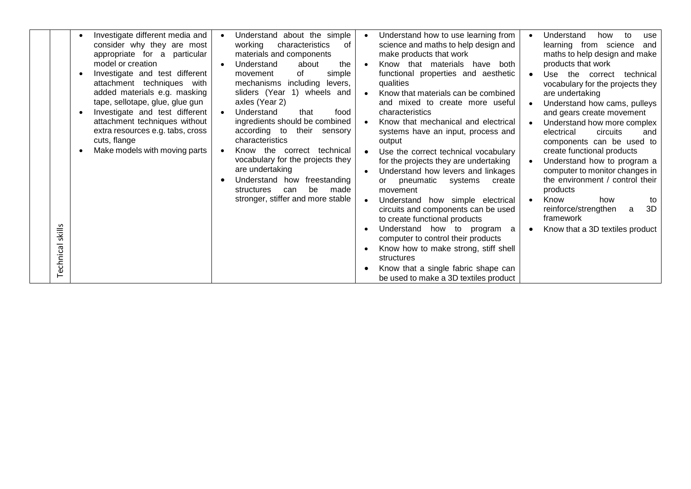| skills<br>Technical | Investigate different media and<br>$\bullet$<br>consider why they are most<br>appropriate for a particular<br>model or creation<br>Investigate and test different<br>$\bullet$<br>attachment techniques with<br>added materials e.g. masking<br>tape, sellotape, glue, glue gun<br>Investigate and test different<br>$\bullet$<br>attachment techniques without<br>extra resources e.g. tabs, cross<br>cuts, flange<br>Make models with moving parts | Understand about the simple<br>characteristics<br>working<br>0f<br>materials and components<br>Understand<br>about<br>the<br>simple<br>of<br>movement<br>mechanisms including levers,<br>sliders (Year 1) wheels and<br>axles (Year 2)<br>Understand<br>that<br>food<br>ingredients should be combined<br>according to<br>their sensory<br>characteristics<br>Know the correct technical<br>vocabulary for the projects they<br>are undertaking<br>Understand how<br>freestanding<br>be<br>made<br>structures<br>can<br>stronger, stiffer and more stable | Understand how to use learning from<br>science and maths to help design and<br>make products that work<br>Know that materials<br>both<br>have<br>functional properties and aesthetic<br>qualities<br>Know that materials can be combined<br>and mixed to create more useful<br>characteristics<br>Know that mechanical and electrical<br>systems have an input, process and<br>output<br>Use the correct technical vocabulary<br>for the projects they are undertaking<br>Understand how levers and linkages<br>pneumatic systems<br>create<br>or<br>movement<br>Understand how simple electrical<br>circuits and components can be used<br>to create functional products<br>Understand how to program a<br>computer to control their products<br>Know how to make strong, stiff shell<br>structures<br>Know that a single fabric shape can<br>be used to make a 3D textiles product | Understand<br>how<br>to<br>use<br>learning from science<br>and<br>maths to help design and make<br>products that work<br>Use the correct<br>technical<br>vocabulary for the projects they<br>are undertaking<br>Understand how cams, pulleys<br>and gears create movement<br>Understand how more complex<br>electrical<br>circuits<br>and<br>components can be used to<br>create functional products<br>Understand how to program a<br>computer to monitor changes in<br>the environment / control their<br>products<br>Know<br>how<br>to<br>3D<br>reinforce/strengthen<br>a<br>framework<br>Know that a 3D textiles product |
|---------------------|------------------------------------------------------------------------------------------------------------------------------------------------------------------------------------------------------------------------------------------------------------------------------------------------------------------------------------------------------------------------------------------------------------------------------------------------------|-----------------------------------------------------------------------------------------------------------------------------------------------------------------------------------------------------------------------------------------------------------------------------------------------------------------------------------------------------------------------------------------------------------------------------------------------------------------------------------------------------------------------------------------------------------|--------------------------------------------------------------------------------------------------------------------------------------------------------------------------------------------------------------------------------------------------------------------------------------------------------------------------------------------------------------------------------------------------------------------------------------------------------------------------------------------------------------------------------------------------------------------------------------------------------------------------------------------------------------------------------------------------------------------------------------------------------------------------------------------------------------------------------------------------------------------------------------|------------------------------------------------------------------------------------------------------------------------------------------------------------------------------------------------------------------------------------------------------------------------------------------------------------------------------------------------------------------------------------------------------------------------------------------------------------------------------------------------------------------------------------------------------------------------------------------------------------------------------|